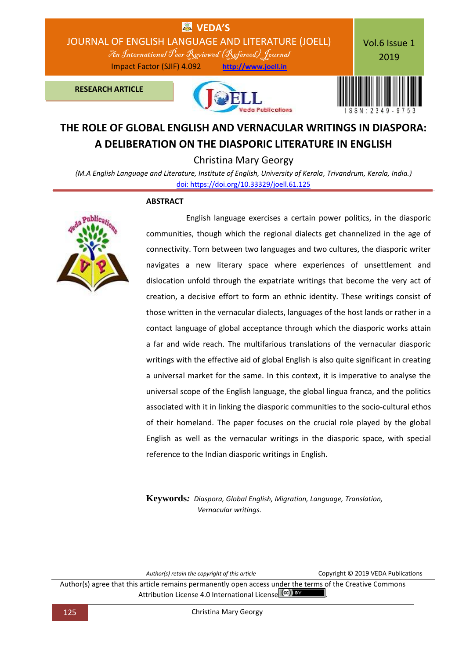

# **THE ROLE OF GLOBAL ENGLISH AND VERNACULAR WRITINGS IN DIASPORA: A DELIBERATION ON THE DIASPORIC LITERATURE IN ENGLISH**

Christina Mary Georgy

*(M.A English Language and Literature, Institute of English, University of Kerala, Trivandrum, Kerala, India.)* [doi: https://doi.org/10.33329/joell.61.125](http://joell.in/vol-6-issue-1-2019/)

### **ABSTRACT**



 English language exercises a certain power politics, in the diasporic communities, though which the regional dialects get channelized in the age of connectivity. Torn between two languages and two cultures, the diasporic writer navigates a new literary space where experiences of unsettlement and dislocation unfold through the expatriate writings that become the very act of creation, a decisive effort to form an ethnic identity. These writings consist of those written in the vernacular dialects, languages of the host lands or rather in a contact language of global acceptance through which the diasporic works attain a far and wide reach. The multifarious translations of the vernacular diasporic writings with the effective aid of global English is also quite significant in creating a universal market for the same. In this context, it is imperative to analyse the universal scope of the English language, the global lingua franca, and the politics associated with it in linking the diasporic communities to the socio-cultural ethos of their homeland. The paper focuses on the crucial role played by the global English as well as the vernacular writings in the diasporic space, with special reference to the Indian diasporic writings in English.

**Keywords***: Diaspora, Global English, Migration, Language, Translation, Vernacular writings.*

*Author(s) retain the copyright of this article* Copyright © 2019 VEDA Publications

Author(s) agree that this article remains permanently open access under the terms of the Creative Commons Attribution License 4.0 International License  $\left[\frac{cc}{c}\right]$  BY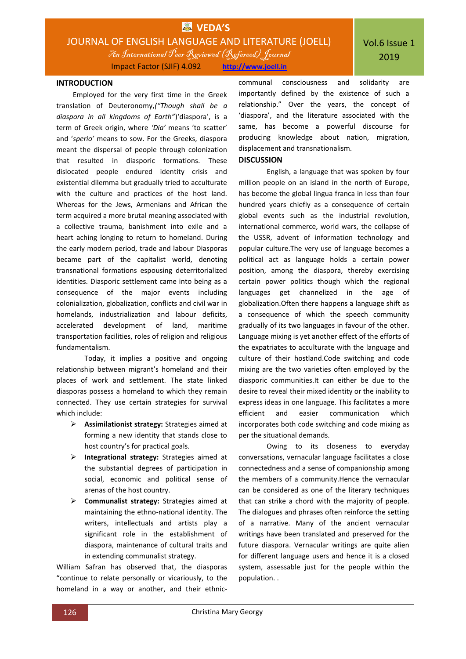# **EX** VEDA'S JOURNAL OF ENGLISH LANGUAGE AND LITERATURE (JOELL) An International Peer Reviewed (Refereed)Journal

Impact Factor (SJIF) 4.092 **http://www.joell.in**

#### **INTRODUCTION**

Employed for the very first time in the Greek translation of Deuteronomy,*("Though shall be a diaspora in all kingdoms of Earth"*)'diaspora', is a term of Greek origin, where *'Dia'* means 'to scatter' and '*sperio'* means to sow. For the Greeks, diaspora meant the dispersal of people through colonization that resulted in diasporic formations. These dislocated people endured identity crisis and existential dilemma but gradually tried to acculturate with the culture and practices of the host land. Whereas for the Jews, Armenians and African the term acquired a more brutal meaning associated with a collective trauma, banishment into exile and a heart aching longing to return to homeland. During the early modern period, trade and labour Diasporas became part of the capitalist world, denoting transnational formations espousing deterritorialized identities. Diasporic settlement came into being as a consequence of the major events including colonialization, globalization, conflicts and civil war in homelands, industrialization and labour deficits, accelerated development of land, maritime transportation facilities, roles of religion and religious fundamentalism.

Today, it implies a positive and ongoing relationship between migrant's homeland and their places of work and settlement. The state linked diasporas possess a homeland to which they remain connected. They use certain strategies for survival which include:

- **Assimilationist strategy:** Strategies aimed at forming a new identity that stands close to host country's for practical goals.
- **Integrational strategy:** Strategies aimed at the substantial degrees of participation in social, economic and political sense of arenas of the host country.
- **Communalist strategy:** Strategies aimed at maintaining the ethno-national identity. The writers, intellectuals and artists play a significant role in the establishment of diaspora, maintenance of cultural traits and in extending communalist strategy.

William Safran has observed that, the diasporas "continue to relate personally or vicariously, to the homeland in a way or another, and their ethniccommunal consciousness and solidarity are importantly defined by the existence of such a relationship." Over the years, the concept of 'diaspora', and the literature associated with the same, has become a powerful discourse for producing knowledge about nation, migration, displacement and transnationalism.

### **DISCUSSION**

English, a language that was spoken by four million people on an island in the north of Europe, has become the global lingua franca in less than four hundred years chiefly as a consequence of certain global events such as the industrial revolution, international commerce, world wars, the collapse of the USSR, advent of information technology and popular culture.The very use of language becomes a political act as language holds a certain power position, among the diaspora, thereby exercising certain power politics though which the regional languages get channelized in the age of globalization.Often there happens a language shift as a consequence of which the speech community gradually of its two languages in favour of the other. Language mixing is yet another effect of the efforts of the expatriates to acculturate with the language and culture of their hostland.Code switching and code mixing are the two varieties often employed by the diasporic communities.It can either be due to the desire to reveal their mixed identity or the inability to express ideas in one language. This facilitates a more efficient and easier communication which incorporates both code switching and code mixing as per the situational demands.

Owing to its closeness to everyday conversations, vernacular language facilitates a close connectedness and a sense of companionship among the members of a community.Hence the vernacular can be considered as one of the literary techniques that can strike a chord with the majority of people. The dialogues and phrases often reinforce the setting of a narrative. Many of the ancient vernacular writings have been translated and preserved for the future diaspora. Vernacular writings are quite alien for different language users and hence it is a closed system, assessable just for the people within the population. .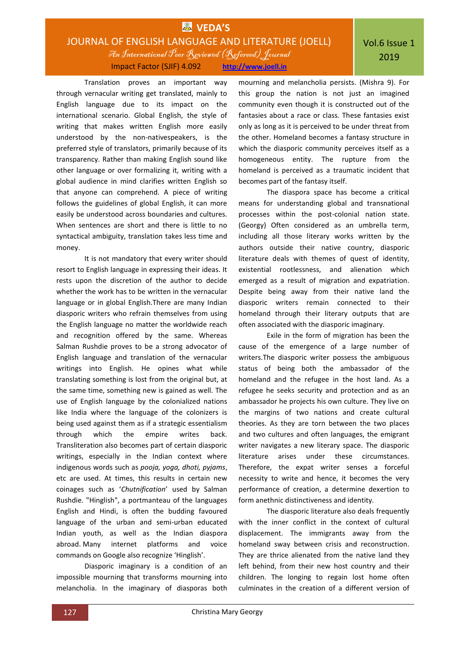# **EX** VEDA'S JOURNAL OF ENGLISH LANGUAGE AND LITERATURE (JOELL) An International Peer Reviewed (Refereed)Journal Impact Factor (SJIF) 4.092 **http://www.joell.in**

Translation proves an important way through vernacular writing get translated, mainly to English language due to its impact on the international scenario. Global English, the style of writing that makes written English more easily understood by the non-nativespeakers, is the preferred style of translators, primarily because of its transparency. Rather than making English sound like other language or over formalizing it, writing with a global audience in mind clarifies written English so that anyone can comprehend. A piece of writing follows the guidelines of global English, it can more easily be understood across boundaries and cultures. When sentences are short and there is little to no syntactical ambiguity, translation takes less time and money.

It is not mandatory that every writer should resort to English language in expressing their ideas. It rests upon the discretion of the author to decide whether the work has to be written in the vernacular language or in global English.There are many Indian diasporic writers who refrain themselves from using the English language no matter the worldwide reach and recognition offered by the same. Whereas Salman Rushdie proves to be a strong advocator of English language and translation of the vernacular writings into English. He opines what while translating something is lost from the original but, at the same time, something new is gained as well. The use of English language by the colonialized nations like India where the language of the colonizers is being used against them as if a strategic essentialism through which the empire writes back. Transliteration also becomes part of certain diasporic writings, especially in the Indian context where indigenous words such as *pooja, yoga, dhoti, pyjams*, etc are used. At times, this results in certain new coinages such as '*Chutnification*' used by Salman Rushdie. "Hinglish", a portmanteau of the languages English and Hindi, is often the budding favoured language of the urban and semi-urban educated Indian youth, as well as the Indian diaspora abroad. Many internet platforms and voice commands on Google also recognize 'Hinglish'.

Diasporic imaginary is a condition of an impossible mourning that transforms mourning into melancholia. In the imaginary of diasporas both

mourning and melancholia persists. (Mishra 9). For this group the nation is not just an imagined community even though it is constructed out of the fantasies about a race or class. These fantasies exist only as long as it is perceived to be under threat from the other. Homeland becomes a fantasy structure in which the diasporic community perceives itself as a homogeneous entity. The rupture from the homeland is perceived as a traumatic incident that becomes part of the fantasy itself.

The diaspora space has become a critical means for understanding global and transnational processes within the post-colonial nation state. (Georgy) Often considered as an umbrella term, including all those literary works written by the authors outside their native country, diasporic literature deals with themes of quest of identity, existential rootlessness, and alienation which emerged as a result of migration and expatriation. Despite being away from their native land the diasporic writers remain connected to their homeland through their literary outputs that are often associated with the diasporic imaginary.

Exile in the form of migration has been the cause of the emergence of a large number of writers.The diasporic writer possess the ambiguous status of being both the ambassador of the homeland and the refugee in the host land. As a refugee he seeks security and protection and as an ambassador he projects his own culture. They live on the margins of two nations and create cultural theories. As they are torn between the two places and two cultures and often languages, the emigrant writer navigates a new literary space. The diasporic literature arises under these circumstances. Therefore, the expat writer senses a forceful necessity to write and hence, it becomes the very performance of creation, a determine dexertion to form anethnic distinctiveness and identity.

The diasporic literature also deals frequently with the inner conflict in the context of cultural displacement. The immigrants away from the homeland sway between crisis and reconstruction. They are thrice alienated from the native land they left behind, from their new host country and their children. The longing to regain lost home often culminates in the creation of a different version of